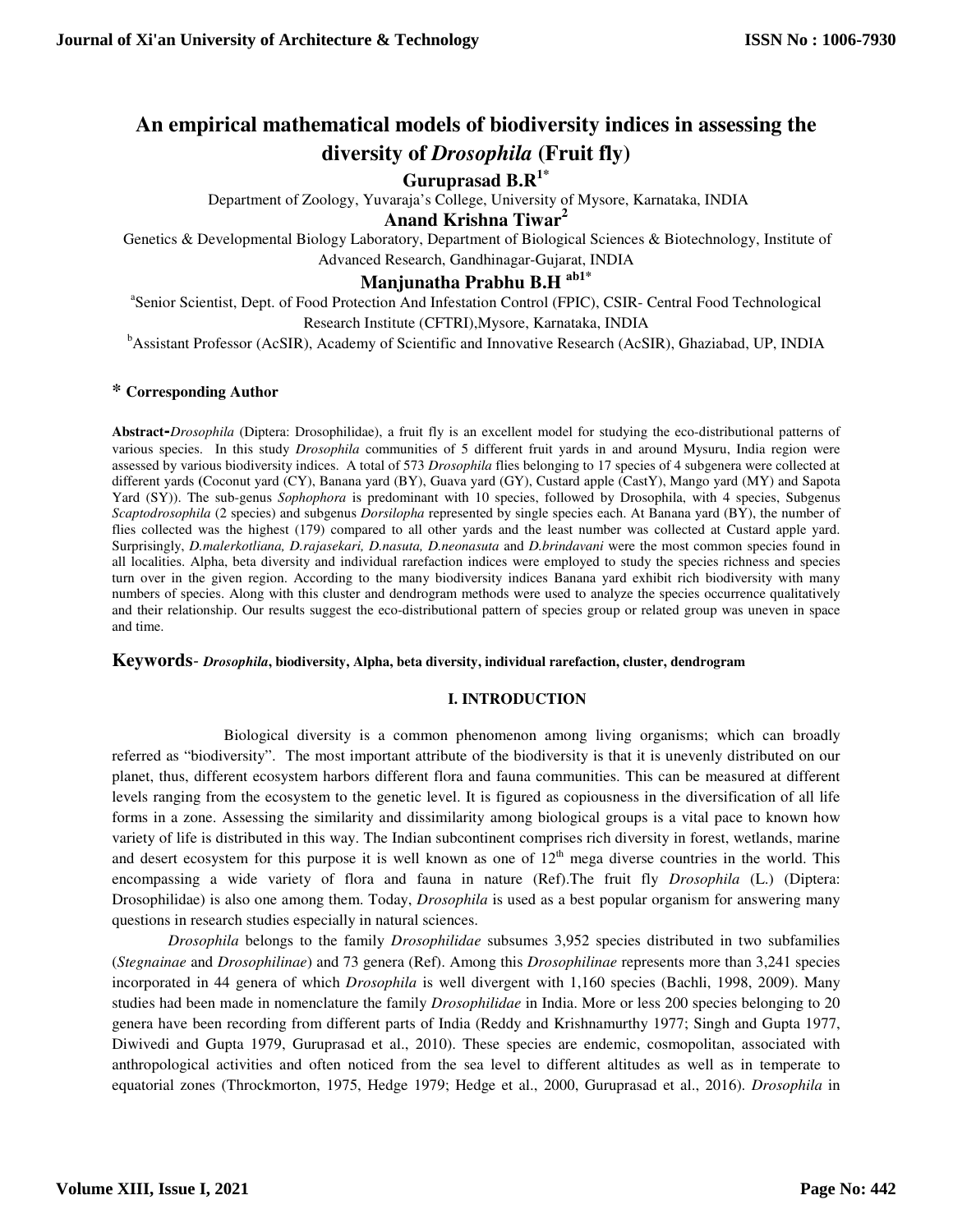# **An empirical mathematical models of biodiversity indices in assessing the diversity of** *Drosophila* **(Fruit fly)**

## **Guruprasad B.R1\***

Department of Zoology, Yuvaraja's College, University of Mysore, Karnataka, INDIA

**Anand Krishna Tiwar<sup>2</sup>**

Genetics & Developmental Biology Laboratory, Department of Biological Sciences & Biotechnology, Institute of Advanced Research, Gandhinagar-Gujarat, INDIA

## **Manjunatha Prabhu B.H ab1\***

<sup>a</sup>Senior Scientist, Dept. of Food Protection And Infestation Control (FPIC), CSIR- Central Food Technological Research Institute (CFTRI),Mysore, Karnataka, INDIA

<sup>b</sup>Assistant Professor (AcSIR), Academy of Scientific and Innovative Research (AcSIR), Ghaziabad, UP, INDIA

## **\* Corresponding Author**

**Abstract-***Drosophila* (Diptera: Drosophilidae), a fruit fly is an excellent model for studying the eco-distributional patterns of various species. In this study *Drosophila* communities of 5 different fruit yards in and around Mysuru, India region were assessed by various biodiversity indices. A total of 573 *Drosophila* flies belonging to 17 species of 4 subgenera were collected at different yards **(**Coconut yard (CY), Banana yard (BY), Guava yard (GY), Custard apple (CastY), Mango yard (MY) and Sapota Yard (SY)). The sub-genus *Sophophora* is predominant with 10 species, followed by Drosophila, with 4 species, Subgenus *Scaptodrosophila* (2 species) and subgenus *Dorsilopha* represented by single species each. At Banana yard (BY), the number of flies collected was the highest (179) compared to all other yards and the least number was collected at Custard apple yard. Surprisingly, *D.malerkotliana, D.rajasekari, D.nasuta, D.neonasuta* and *D.brindavani* were the most common species found in all localities. Alpha, beta diversity and individual rarefaction indices were employed to study the species richness and species turn over in the given region. According to the many biodiversity indices Banana yard exhibit rich biodiversity with many numbers of species. Along with this cluster and dendrogram methods were used to analyze the species occurrence qualitatively and their relationship. Our results suggest the eco-distributional pattern of species group or related group was uneven in space and time.

### **Keywords***- Drosophila***, biodiversity, Alpha, beta diversity, individual rarefaction, cluster, dendrogram**

### **I. INTRODUCTION**

 Biological diversity is a common phenomenon among living organisms; which can broadly referred as "biodiversity". The most important attribute of the biodiversity is that it is unevenly distributed on our planet, thus, different ecosystem harbors different flora and fauna communities. This can be measured at different levels ranging from the ecosystem to the genetic level. It is figured as copiousness in the diversification of all life forms in a zone. Assessing the similarity and dissimilarity among biological groups is a vital pace to known how variety of life is distributed in this way. The Indian subcontinent comprises rich diversity in forest, wetlands, marine and desert ecosystem for this purpose it is well known as one of  $12<sup>th</sup>$  mega diverse countries in the world. This encompassing a wide variety of flora and fauna in nature (Ref).The fruit fly *Drosophila* (L.) (Diptera: Drosophilidae) is also one among them. Today, *Drosophila* is used as a best popular organism for answering many questions in research studies especially in natural sciences.

*Drosophila* belongs to the family *Drosophilidae* subsumes 3,952 species distributed in two subfamilies (*Stegnainae* and *Drosophilinae*) and 73 genera (Ref). Among this *Drosophilinae* represents more than 3,241 species incorporated in 44 genera of which *Drosophila* is well divergent with 1,160 species (Bachli, 1998, 2009). Many studies had been made in nomenclature the family *Drosophilidae* in India. More or less 200 species belonging to 20 genera have been recording from different parts of India (Reddy and Krishnamurthy 1977; Singh and Gupta 1977, Diwivedi and Gupta 1979, Guruprasad et al., 2010). These species are endemic, cosmopolitan, associated with anthropological activities and often noticed from the sea level to different altitudes as well as in temperate to equatorial zones (Throckmorton, 1975, Hedge 1979; Hedge et al., 2000, Guruprasad et al., 2016). *Drosophila* in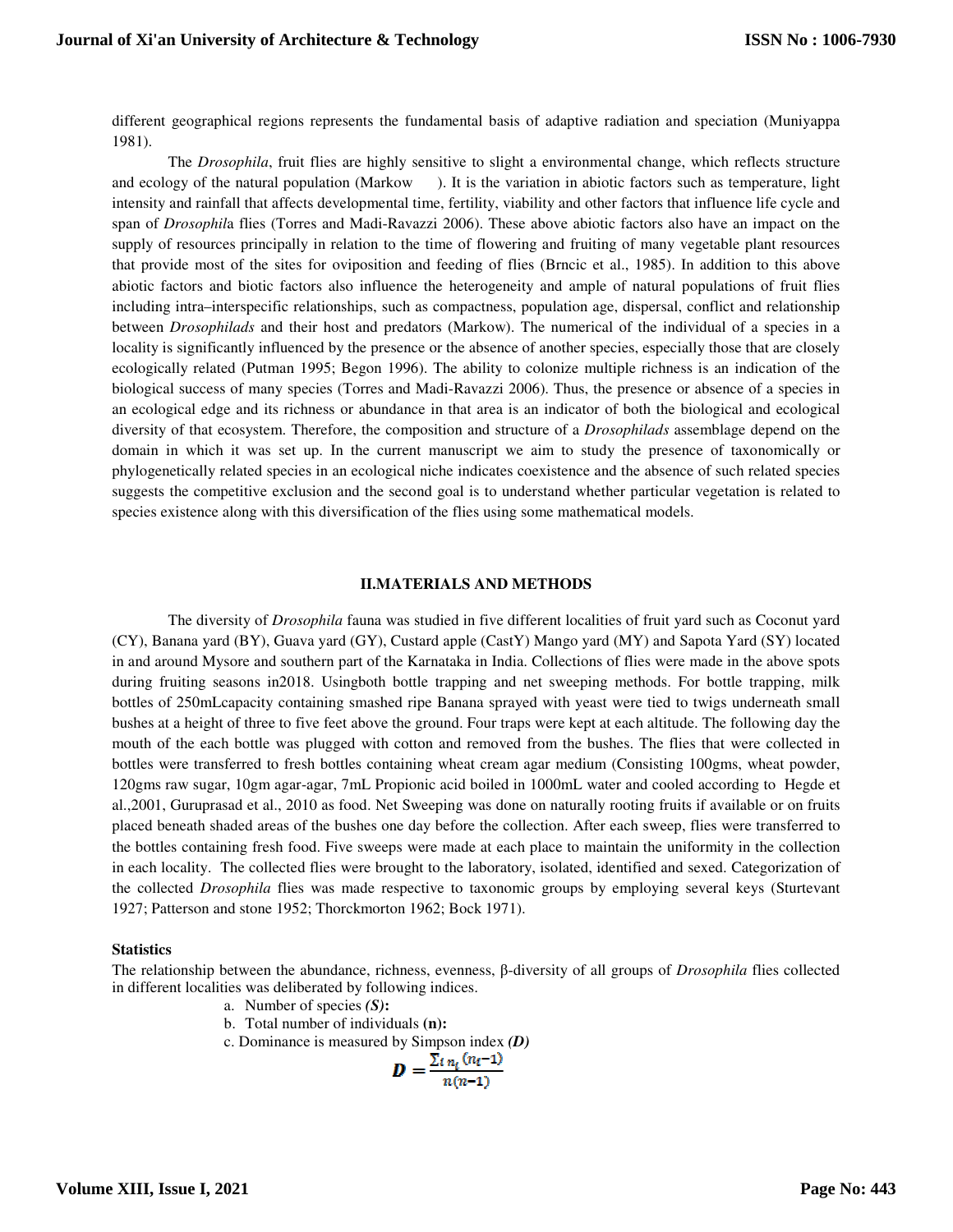different geographical regions represents the fundamental basis of adaptive radiation and speciation (Muniyappa 1981).

The *Drosophila*, fruit flies are highly sensitive to slight a environmental change, which reflects structure and ecology of the natural population (Markow ). It is the variation in abiotic factors such as temperature, light intensity and rainfall that affects developmental time, fertility, viability and other factors that influence life cycle and span of *Drosophil*a flies (Torres and Madi-Ravazzi 2006). These above abiotic factors also have an impact on the supply of resources principally in relation to the time of flowering and fruiting of many vegetable plant resources that provide most of the sites for oviposition and feeding of flies (Brncic et al., 1985). In addition to this above abiotic factors and biotic factors also influence the heterogeneity and ample of natural populations of fruit flies including intra–interspecific relationships, such as compactness, population age, dispersal, conflict and relationship between *Drosophilads* and their host and predators (Markow). The numerical of the individual of a species in a locality is significantly influenced by the presence or the absence of another species, especially those that are closely ecologically related (Putman 1995; Begon 1996). The ability to colonize multiple richness is an indication of the biological success of many species (Torres and Madi-Ravazzi 2006). Thus, the presence or absence of a species in an ecological edge and its richness or abundance in that area is an indicator of both the biological and ecological diversity of that ecosystem. Therefore, the composition and structure of a *Drosophilads* assemblage depend on the domain in which it was set up. In the current manuscript we aim to study the presence of taxonomically or phylogenetically related species in an ecological niche indicates coexistence and the absence of such related species suggests the competitive exclusion and the second goal is to understand whether particular vegetation is related to species existence along with this diversification of the flies using some mathematical models.

#### **II.MATERIALS AND METHODS**

The diversity of *Drosophila* fauna was studied in five different localities of fruit yard such as Coconut yard (CY), Banana yard (BY), Guava yard (GY), Custard apple (CastY) Mango yard (MY) and Sapota Yard (SY) located in and around Mysore and southern part of the Karnataka in India. Collections of flies were made in the above spots during fruiting seasons in2018. Usingboth bottle trapping and net sweeping methods. For bottle trapping, milk bottles of 250mLcapacity containing smashed ripe Banana sprayed with yeast were tied to twigs underneath small bushes at a height of three to five feet above the ground. Four traps were kept at each altitude. The following day the mouth of the each bottle was plugged with cotton and removed from the bushes. The flies that were collected in bottles were transferred to fresh bottles containing wheat cream agar medium (Consisting 100gms, wheat powder, 120gms raw sugar, 10gm agar-agar, 7mL Propionic acid boiled in 1000mL water and cooled according to Hegde et al.,2001, Guruprasad et al., 2010 as food. Net Sweeping was done on naturally rooting fruits if available or on fruits placed beneath shaded areas of the bushes one day before the collection. After each sweep, flies were transferred to the bottles containing fresh food. Five sweeps were made at each place to maintain the uniformity in the collection in each locality. The collected flies were brought to the laboratory, isolated, identified and sexed. Categorization of the collected *Drosophila* flies was made respective to taxonomic groups by employing several keys (Sturtevant 1927; Patterson and stone 1952; Thorckmorton 1962; Bock 1971).

#### **Statistics**

The relationship between the abundance, richness, evenness, β-diversity of all groups of *Drosophila* flies collected in different localities was deliberated by following indices.

- a. Number of species *(S)***:**
- b. Total number of individuals **(n):**
- c. Dominance is measured by Simpson index *(D)*

$$
D=\frac{\sum i n_i \sqrt{n_i-1}}{n(n-1)}
$$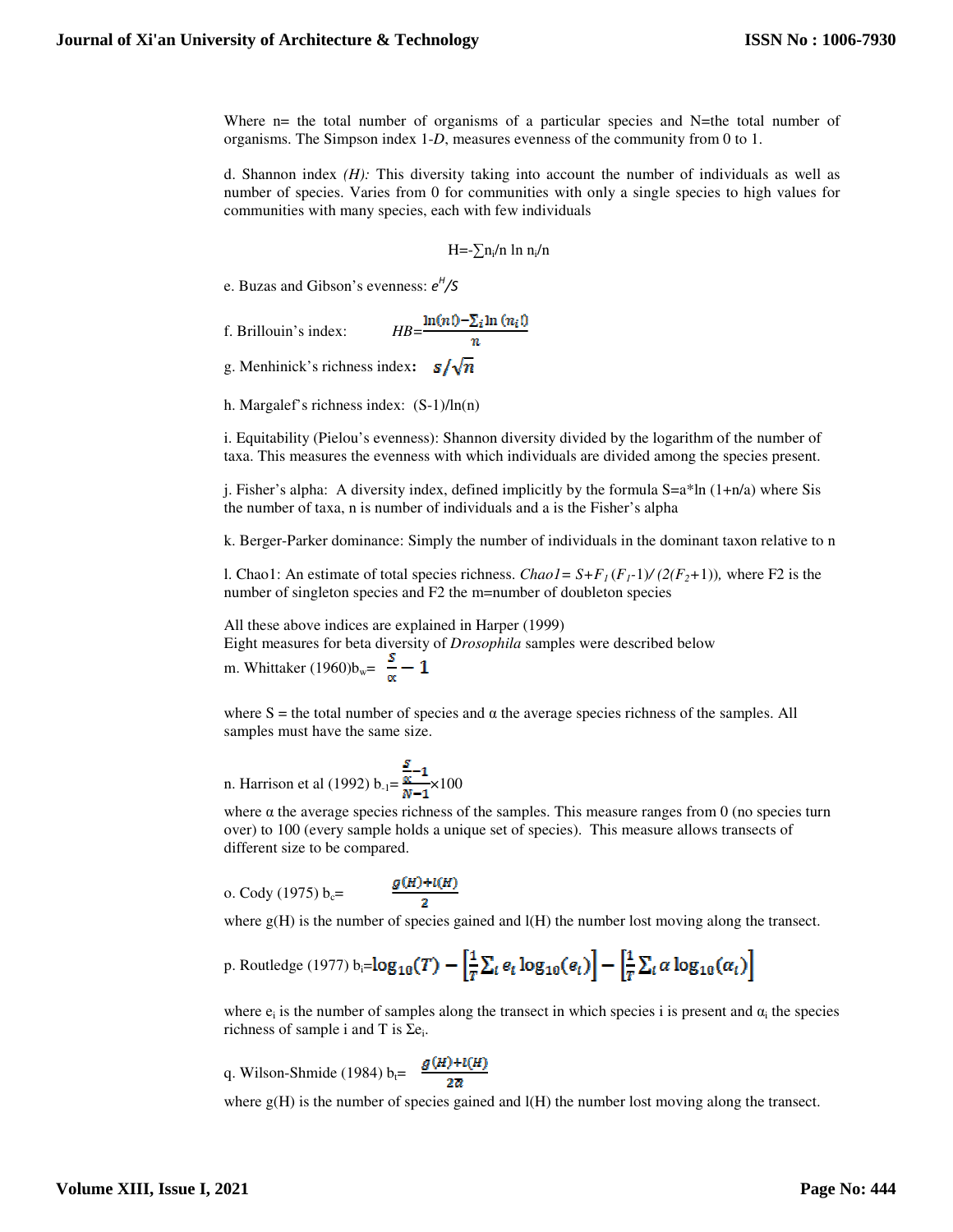Where  $n=$  the total number of organisms of a particular species and N=the total number of organisms. The Simpson index 1-*D*, measures evenness of the community from 0 to 1.

d. Shannon index *(H):* This diversity taking into account the number of individuals as well as number of species. Varies from 0 for communities with only a single species to high values for communities with many species, each with few individuals

$$
H = -\sum n_i/n \ln n_i/n
$$

e. Buzas and Gibson's evenness: *e H /S* 

f. Brillouin's index: 
$$
HB = \frac{\ln(n!) - \sum_l \ln(n_l!)}{n}
$$

g. Menhinick's richness index:  $s/\sqrt{n}$ 

h. Margalef's richness index: (S-1)/ln(n)

i. Equitability (Pielou's evenness): Shannon diversity divided by the logarithm of the number of taxa. This measures the evenness with which individuals are divided among the species present.

j. Fisher's alpha: A diversity index, defined implicitly by the formula S=a\*ln (1+n/a) where Sis the number of taxa, n is number of individuals and a is the Fisher's alpha

k. Berger-Parker dominance: Simply the number of individuals in the dominant taxon relative to n

l. Chao1: An estimate of total species richness. *Chao1* =  $S + F_I(F_I - 1) / (2(F_2 + 1))$ , where F2 is the number of singleton species and F2 the m=number of doubleton species

All these above indices are explained in Harper (1999)

Eight measures for beta diversity of *Drosophila* samples were described below

m. Whittaker (1960) $b_w = \frac{s}{m} - 1$ 

where S = the total number of species and  $\alpha$  the average species richness of the samples. All samples must have the same size.

n. Harrison et al (1992) b<sub>-1</sub> = 
$$
\frac{\frac{S}{\alpha}-1}{N-1}
$$
 × 100

where  $\alpha$  the average species richness of the samples. This measure ranges from 0 (no species turn over) to 100 (every sample holds a unique set of species). This measure allows transects of different size to be compared.

o. Cody (1975) 
$$
b_c =
$$

$$
\frac{g(H)+l(H)}{2}
$$

where  $g(H)$  is the number of species gained and  $l(H)$  the number lost moving along the transect.

p. Routledge (1977) b<sub>i</sub>=
$$
\log_{10}(T) - \left[\frac{1}{T}\sum_i e_i \log_{10}(e_i)\right] - \left[\frac{1}{T}\sum_i \alpha \log_{10}(\alpha_i)\right]
$$

where  $e_i$  is the number of samples along the transect in which species i is present and  $\alpha_i$  the species richness of sample i and T is  $\Sigma e_i$ .

q. Wilson-Shmide (1984) b<sub>t</sub> = 
$$
\frac{g(h)+l(H)}{2\pi}
$$

where  $g(H)$  is the number of species gained and  $l(H)$  the number lost moving along the transect.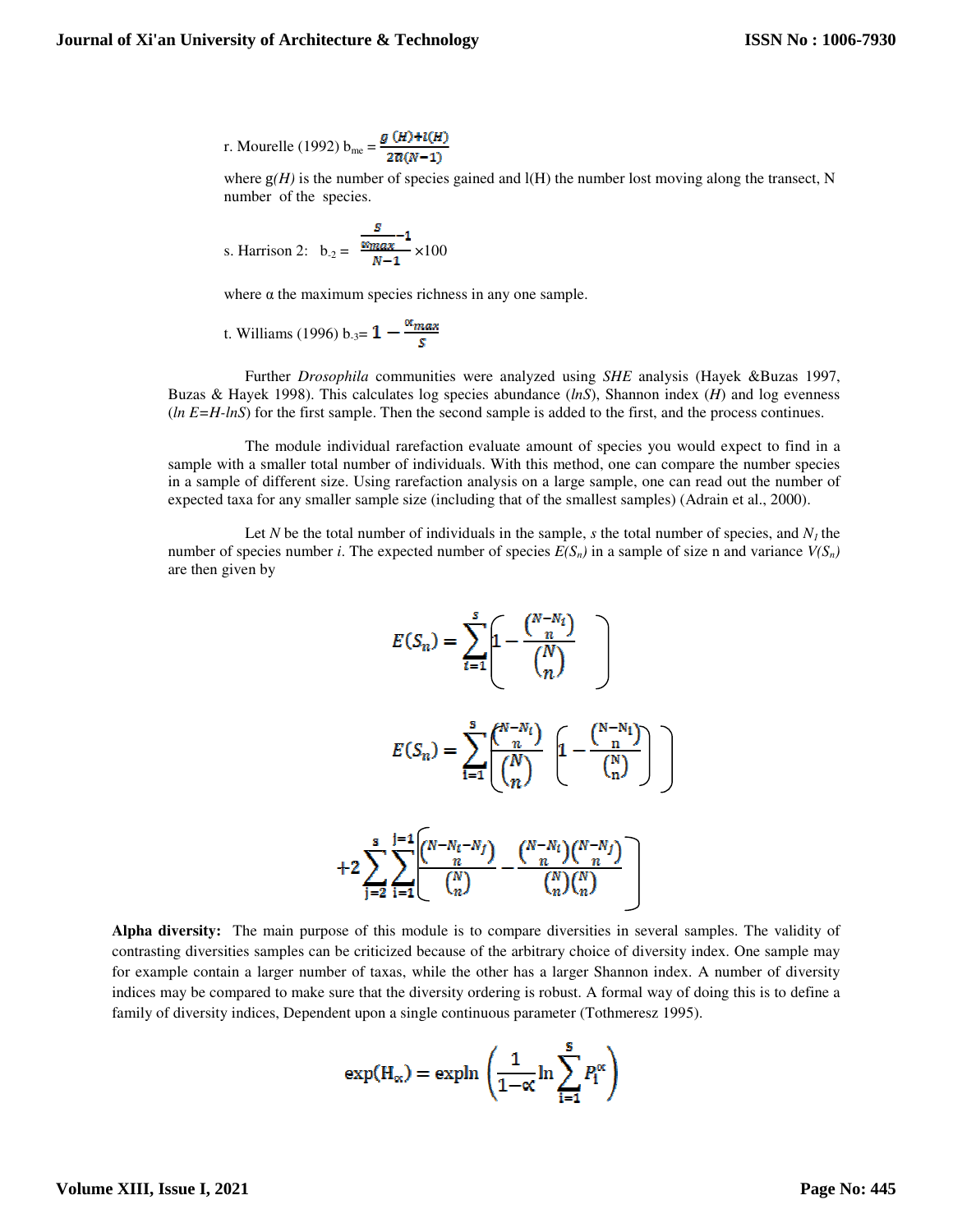r. Mourelle (1992) b<sub>me</sub> = 
$$
\frac{g(\mathbf{H})+l(\mathbf{H})}{2\overline{\alpha}(\mathbf{N}-1)}
$$

where  $g(H)$  is the number of species gained and  $l(H)$  the number lost moving along the transect, N number of the species.

s. Harrison 2: 
$$
b_{-2} = \frac{\frac{S}{\alpha_{\text{max}}} - 1}{N - 1} \times 100
$$

where  $\alpha$  the maximum species richness in any one sample.

t. Williams (1996) b<sub>-3</sub>= 
$$
1 - \frac{\alpha_{max}}{s}
$$

 Further *Drosophila* communities were analyzed using *SHE* analysis (Hayek &Buzas 1997, Buzas & Hayek 1998). This calculates log species abundance (*lnS*), Shannon index (*H*) and log evenness (*ln E=H-lnS*) for the first sample. Then the second sample is added to the first, and the process continues.

 The module individual rarefaction evaluate amount of species you would expect to find in a sample with a smaller total number of individuals. With this method, one can compare the number species in a sample of different size. Using rarefaction analysis on a large sample, one can read out the number of expected taxa for any smaller sample size (including that of the smallest samples) (Adrain et al., 2000).

Let *N* be the total number of individuals in the sample, *s* the total number of species, and  $N<sub>l</sub>$  the number of species number *i*. The expected number of species  $E(S_n)$  in a sample of size n and variance  $V(S_n)$ are then given by

$$
E(S_n) = \sum_{i=1}^{s} \left[ 1 - \frac{\binom{N - N_i}{n}}{\binom{N}{n}} \right]
$$

$$
E(S_n) = \sum_{i=1}^{s} \frac{\binom{N - N_i}{n}}{\binom{N}{n}} \left[ 1 - \frac{\binom{N - N_i}{n}}{\binom{N}{n}} \right]
$$

$$
+ 2 \sum_{j=2}^{s} \sum_{i=1}^{j=1} \frac{\binom{N - N_i - N_j}{n}}{\binom{N}{n}} - \frac{\binom{N - N_i}{n}\binom{N - N_j}{n}}{\binom{N}{n}\binom{N}{n}}
$$

**Alpha diversity:** The main purpose of this module is to compare diversities in several samples. The validity of contrasting diversities samples can be criticized because of the arbitrary choice of diversity index. One sample may for example contain a larger number of taxas, while the other has a larger Shannon index. A number of diversity indices may be compared to make sure that the diversity ordering is robust. A formal way of doing this is to define a family of diversity indices, Dependent upon a single continuous parameter (Tothmeresz 1995).

$$
\exp(H_{\alpha}) = \exp \ln \left( \frac{1}{1-\alpha} \ln \sum_{i=1}^{S} P_i^{\alpha} \right)
$$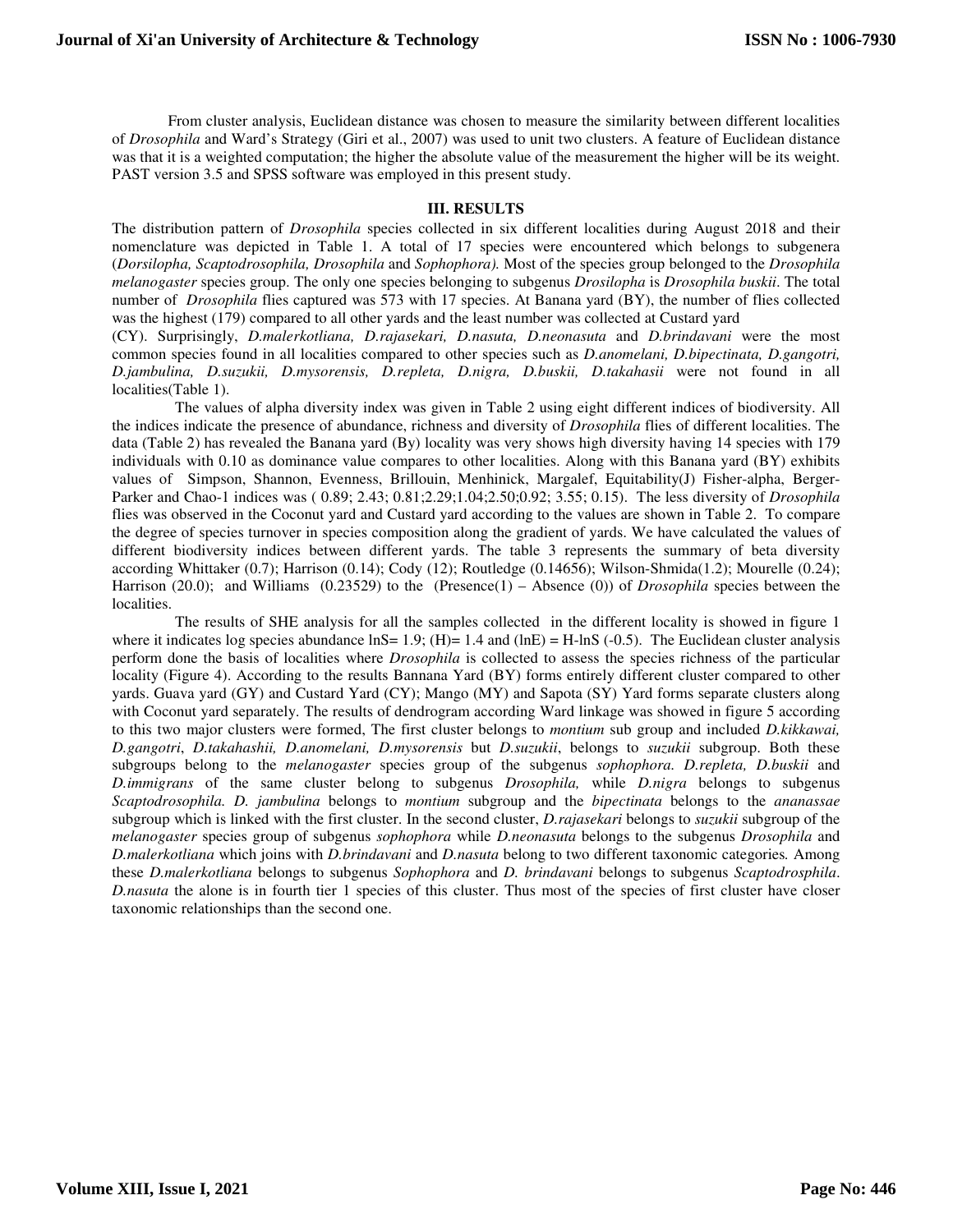From cluster analysis, Euclidean distance was chosen to measure the similarity between different localities of *Drosophila* and Ward's Strategy (Giri et al., 2007) was used to unit two clusters. A feature of Euclidean distance was that it is a weighted computation; the higher the absolute value of the measurement the higher will be its weight. PAST version 3.5 and SPSS software was employed in this present study.

### **III. RESULTS**

The distribution pattern of *Drosophila* species collected in six different localities during August 2018 and their nomenclature was depicted in Table 1. A total of 17 species were encountered which belongs to subgenera (*Dorsilopha, Scaptodrosophila, Drosophila* and *Sophophora).* Most of the species group belonged to the *Drosophila melanogaster* species group. The only one species belonging to subgenus *Drosilopha* is *Drosophila buskii*. The total number of *Drosophila* flies captured was 573 with 17 species. At Banana yard (BY), the number of flies collected was the highest (179) compared to all other yards and the least number was collected at Custard yard

(CY). Surprisingly, *D.malerkotliana, D.rajasekari, D.nasuta, D.neonasuta* and *D.brindavani* were the most common species found in all localities compared to other species such as *D.anomelani, D.bipectinata, D.gangotri, D.jambulina, D.suzukii, D.mysorensis, D.repleta, D.nigra, D.buskii, D.takahasii* were not found in all localities(Table 1).

 The values of alpha diversity index was given in Table 2 using eight different indices of biodiversity. All the indices indicate the presence of abundance, richness and diversity of *Drosophila* flies of different localities. The data (Table 2) has revealed the Banana yard (By) locality was very shows high diversity having 14 species with 179 individuals with 0.10 as dominance value compares to other localities. Along with this Banana yard (BY) exhibits values of Simpson, Shannon, Evenness, Brillouin, Menhinick, Margalef, Equitability(J) Fisher-alpha, Berger-Parker and Chao-1 indices was ( 0.89; 2.43; 0.81;2.29;1.04;2.50;0.92; 3.55; 0.15). The less diversity of *Drosophila* flies was observed in the Coconut yard and Custard yard according to the values are shown in Table 2. To compare the degree of species turnover in species composition along the gradient of yards. We have calculated the values of different biodiversity indices between different yards. The table 3 represents the summary of beta diversity according Whittaker (0.7); Harrison (0.14); Cody (12); Routledge (0.14656); Wilson-Shmida(1.2); Mourelle (0.24); Harrison (20.0); and Williams (0.23529) to the (Presence(1) – Absence (0)) of *Drosophila* species between the localities.

 The results of SHE analysis for all the samples collected in the different locality is showed in figure 1 where it indicates log species abundance  $lnS = 1.9$ ; (H)= 1.4 and (lnE) = H-lnS (-0.5). The Euclidean cluster analysis perform done the basis of localities where *Drosophila* is collected to assess the species richness of the particular locality (Figure 4). According to the results Bannana Yard (BY) forms entirely different cluster compared to other yards. Guava yard (GY) and Custard Yard (CY); Mango (MY) and Sapota (SY) Yard forms separate clusters along with Coconut yard separately. The results of dendrogram according Ward linkage was showed in figure 5 according to this two major clusters were formed, The first cluster belongs to *montium* sub group and included *D.kikkawai, D.gangotri*, *D.takahashii, D.anomelani, D.mysorensis* but *D.suzukii*, belongs to *suzukii* subgroup. Both these subgroups belong to the *melanogaster* species group of the subgenus *sophophora. D.repleta, D.buskii* and *D.immigrans* of the same cluster belong to subgenus *Drosophila,* while *D.nigra* belongs to subgenus *Scaptodrosophila. D. jambulina* belongs to *montium* subgroup and the *bipectinata* belongs to the *ananassae* subgroup which is linked with the first cluster. In the second cluster, *D.rajasekari* belongs to *suzukii* subgroup of the *melanogaster* species group of subgenus *sophophora* while *D.neonasuta* belongs to the subgenus *Drosophila* and *D.malerkotliana* which joins with *D.brindavani* and *D.nasuta* belong to two different taxonomic categories*.* Among these *D.malerkotliana* belongs to subgenus *Sophophora* and *D. brindavani* belongs to subgenus *Scaptodrosphila*. *D.nasuta* the alone is in fourth tier 1 species of this cluster. Thus most of the species of first cluster have closer taxonomic relationships than the second one.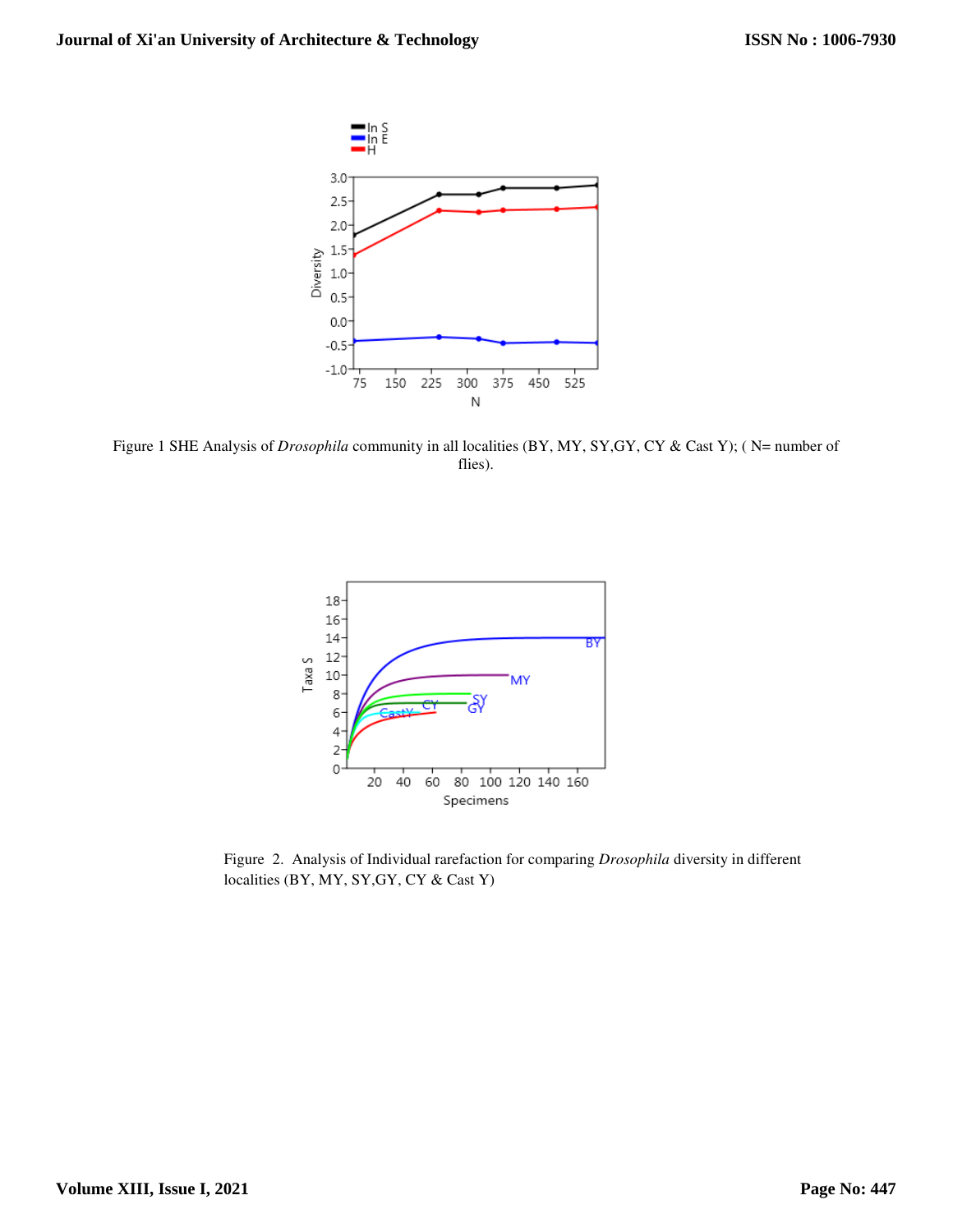

Figure 1 SHE Analysis of *Drosophila* community in all localities (BY, MY, SY,GY, CY & Cast Y); ( N= number of flies).



Figure 2. Analysis of Individual rarefaction for comparing *Drosophila* diversity in different localities (BY, MY, SY,GY, CY & Cast Y)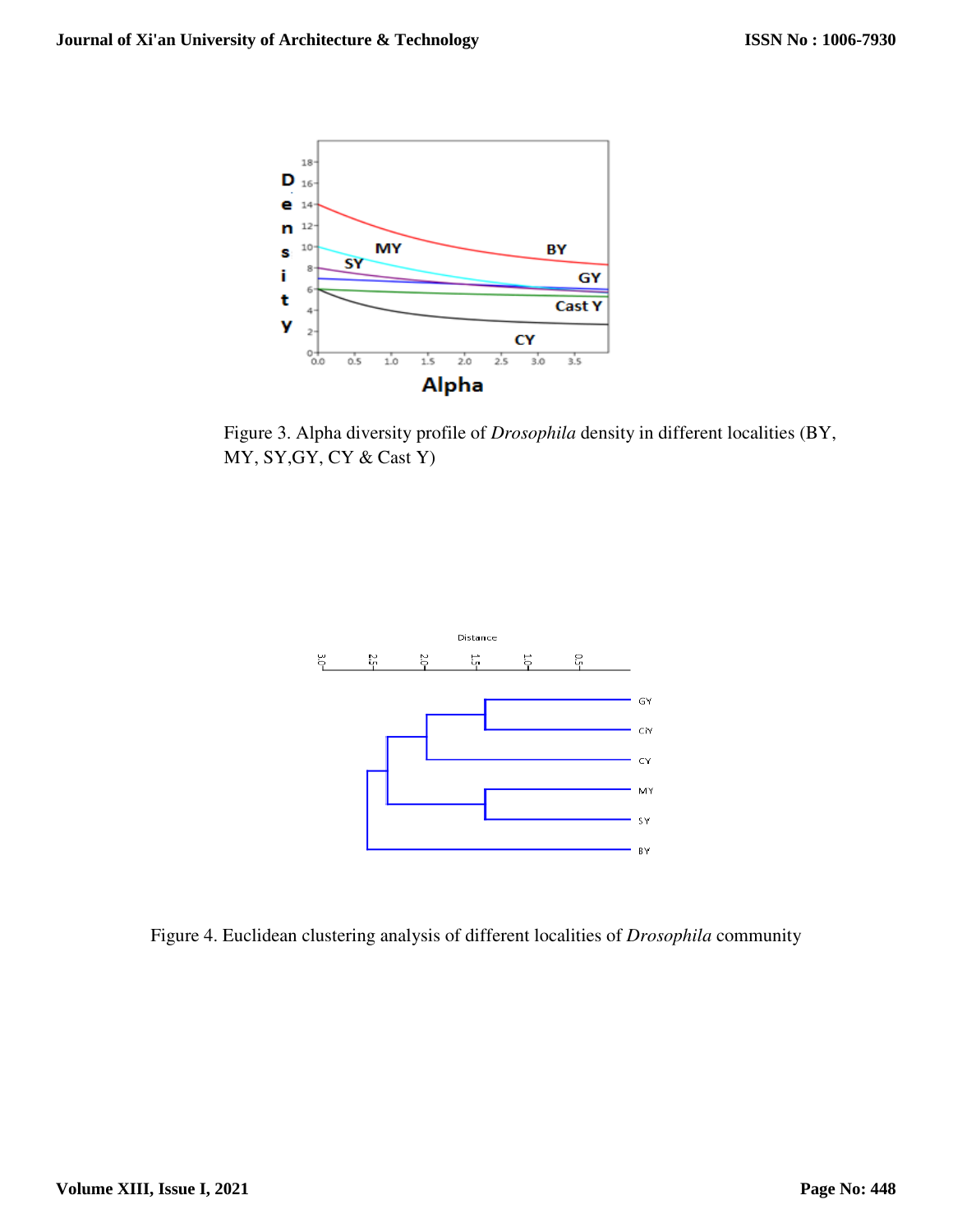

Figure 3. Alpha diversity profile of *Drosophila* density in different localities (BY, MY, SY,GY, CY & Cast Y)



Figure 4. Euclidean clustering analysis of different localities of *Drosophila* community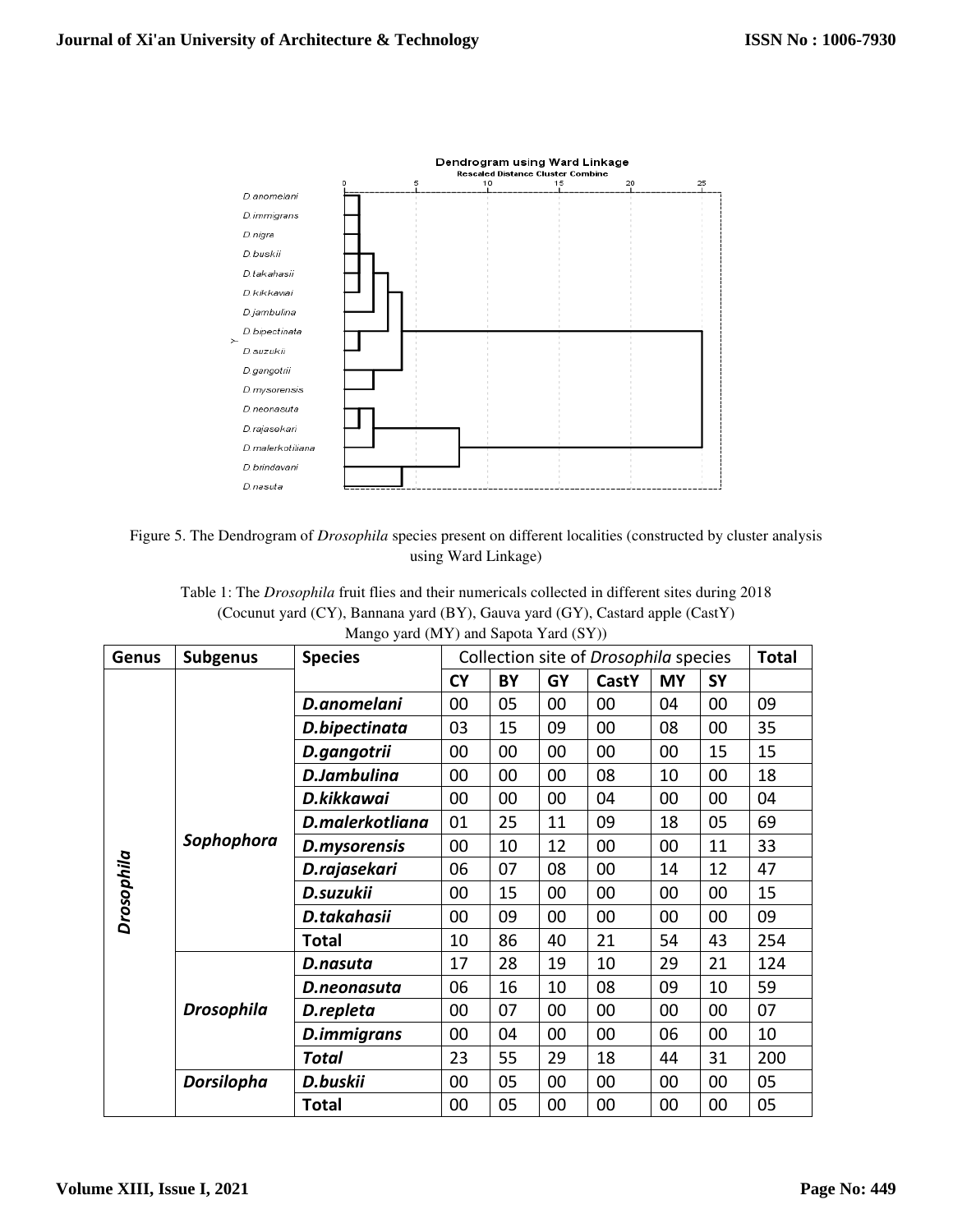

Figure 5. The Dendrogram of *Drosophila* species present on different localities (constructed by cluster analysis using Ward Linkage)

Table 1: The *Drosophila* fruit flies and their numericals collected in different sites during 2018 (Cocunut yard (CY), Bannana yard (BY), Gauva yard (GY), Castard apple (CastY) Mango yard (MY) and Sapota Yard (SY))

| Genus      | <b>Subgenus</b>   | <b>Species</b>     | Collection site of Drosophila species |    |    |              |           |           | <b>Total</b> |
|------------|-------------------|--------------------|---------------------------------------|----|----|--------------|-----------|-----------|--------------|
|            |                   |                    | <b>CY</b>                             | BY | GY | <b>CastY</b> | <b>MY</b> | <b>SY</b> |              |
|            | Sophophora        | D.anomelani        | 00                                    | 05 | 00 | 00           | 04        | 00        | 09           |
|            |                   | D.bipectinata      | 03                                    | 15 | 09 | 00           | 08        | 00        | 35           |
|            |                   | D.gangotrii        | 00                                    | 00 | 00 | 00           | 00        | 15        | 15           |
|            |                   | <b>D.Jambulina</b> | 00                                    | 00 | 00 | 08           | 10        | 00        | 18           |
|            |                   | D.kikkawai         | 00                                    | 00 | 00 | 04           | 00        | 00        | 04           |
| Drosophila |                   | D.malerkotliana    | 01                                    | 25 | 11 | 09           | 18        | 05        | 69           |
|            |                   | D.mysorensis       | 00                                    | 10 | 12 | 00           | 00        | 11        | 33           |
|            |                   | D.rajasekari       | 06                                    | 07 | 08 | 00           | 14        | 12        | 47           |
|            |                   | D.suzukii          | 00                                    | 15 | 00 | 00           | 00        | 00        | 15           |
|            |                   | D.takahasii        | 00                                    | 09 | 00 | 00           | 00        | 00        | 09           |
|            |                   | Total              | 10                                    | 86 | 40 | 21           | 54        | 43        | 254          |
|            | <b>Drosophila</b> | D.nasuta           | 17                                    | 28 | 19 | 10           | 29        | 21        | 124          |
|            |                   | D.neonasuta        | 06                                    | 16 | 10 | 08           | 09        | 10        | 59           |
|            |                   | D.repleta          | 00                                    | 07 | 00 | 00           | 00        | 00        | 07           |
|            |                   | D.immigrans        | 00                                    | 04 | 00 | 00           | 06        | 00        | 10           |
|            |                   | <b>Total</b>       | 23                                    | 55 | 29 | 18           | 44        | 31        | 200          |
|            | <b>Dorsilopha</b> | D.buskii           | 00                                    | 05 | 00 | 00           | 00        | 00        | 05           |
|            |                   | <b>Total</b>       | 00                                    | 05 | 00 | 00           | 00        | 00        | 05           |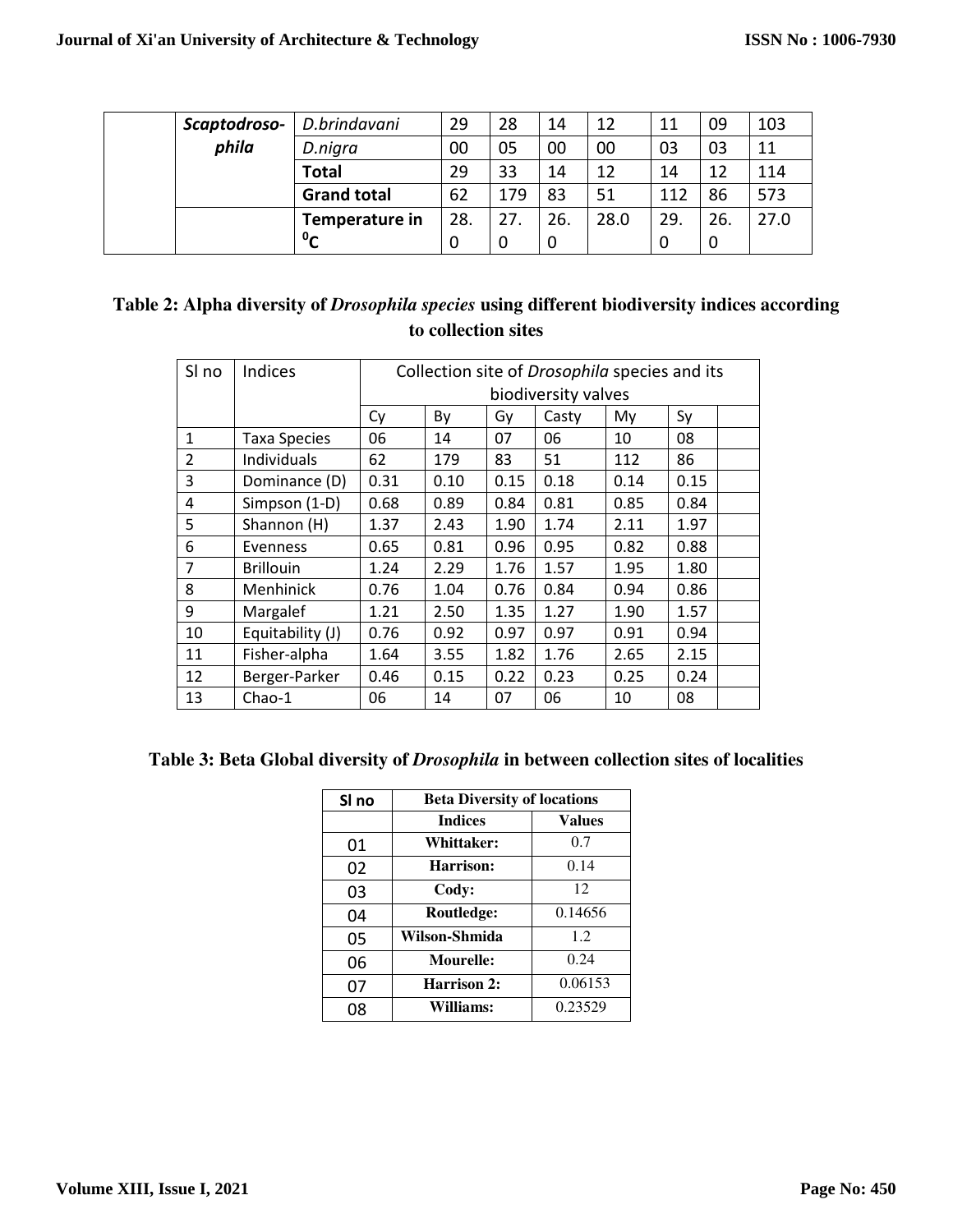| Scaptodroso- | D.brindavani               | 29  | 28  | 14  | 12   | 11  | 09  | 103  |
|--------------|----------------------------|-----|-----|-----|------|-----|-----|------|
| phila        | D.nigra                    | 00  | 05  | 00  | 00   | 03  | 03  | 11   |
|              | <b>Total</b>               | 29  | 33  | 14  | 12   | 14  | 12  | 114  |
|              | <b>Grand total</b>         | 62  | 179 | 83  | 51   | 112 | 86  | 573  |
|              | Temperature in             | 28. | 27. | 26. | 28.0 | 29. | 26. | 27.0 |
|              | $\mathbf{0}_{\mathcal{C}}$ | U   | 0   | U   |      | U   |     |      |

| Table 2: Alpha diversity of <i>Drosophila species</i> using different biodiversity indices according |                     |  |  |
|------------------------------------------------------------------------------------------------------|---------------------|--|--|
|                                                                                                      | to collection sites |  |  |

| SI no          | <b>Indices</b>      | Collection site of Drosophila species and its |      |      |       |      |      |  |
|----------------|---------------------|-----------------------------------------------|------|------|-------|------|------|--|
|                |                     | biodiversity valves                           |      |      |       |      |      |  |
|                |                     | Cy                                            | By   | Gy   | Casty | My   | Sy   |  |
| $\mathbf{1}$   | <b>Taxa Species</b> | 06                                            | 14   | 07   | 06    | 10   | 08   |  |
| $\mathfrak{p}$ | Individuals         | 62                                            | 179  | 83   | 51    | 112  | 86   |  |
| 3              | Dominance (D)       | 0.31                                          | 0.10 | 0.15 | 0.18  | 0.14 | 0.15 |  |
| 4              | Simpson (1-D)       | 0.68                                          | 0.89 | 0.84 | 0.81  | 0.85 | 0.84 |  |
| 5              | Shannon (H)         | 1.37                                          | 2.43 | 1.90 | 1.74  | 2.11 | 1.97 |  |
| 6              | Evenness            | 0.65                                          | 0.81 | 0.96 | 0.95  | 0.82 | 0.88 |  |
| 7              | <b>Brillouin</b>    | 1.24                                          | 2.29 | 1.76 | 1.57  | 1.95 | 1.80 |  |
| 8              | Menhinick           | 0.76                                          | 1.04 | 0.76 | 0.84  | 0.94 | 0.86 |  |
| 9              | Margalef            | 1.21                                          | 2.50 | 1.35 | 1.27  | 1.90 | 1.57 |  |
| 10             | Equitability (J)    | 0.76                                          | 0.92 | 0.97 | 0.97  | 0.91 | 0.94 |  |
| 11             | Fisher-alpha        | 1.64                                          | 3.55 | 1.82 | 1.76  | 2.65 | 2.15 |  |
| 12             | Berger-Parker       | 0.46                                          | 0.15 | 0.22 | 0.23  | 0.25 | 0.24 |  |
| 13             | Chao-1              | 06                                            | 14   | 07   | 06    | 10   | 08   |  |

## **Table 3: Beta Global diversity of** *Drosophila* **in between collection sites of localities**

| SI no | <b>Beta Diversity of locations</b> |               |  |  |  |  |
|-------|------------------------------------|---------------|--|--|--|--|
|       | <b>Indices</b>                     | <b>Values</b> |  |  |  |  |
| 01    | <b>Whittaker:</b>                  | 0.7           |  |  |  |  |
| 02    | Harrison:                          | 0.14          |  |  |  |  |
| 03    | Cody:                              | 12            |  |  |  |  |
| 04    | Routledge:                         | 0.14656       |  |  |  |  |
| 05    | Wilson-Shmida                      | 1.2.          |  |  |  |  |
| 06    | <b>Mourelle:</b>                   | 0.24          |  |  |  |  |
| 07    | <b>Harrison 2:</b>                 | 0.06153       |  |  |  |  |
| 08    | Williams:                          | 0.23529       |  |  |  |  |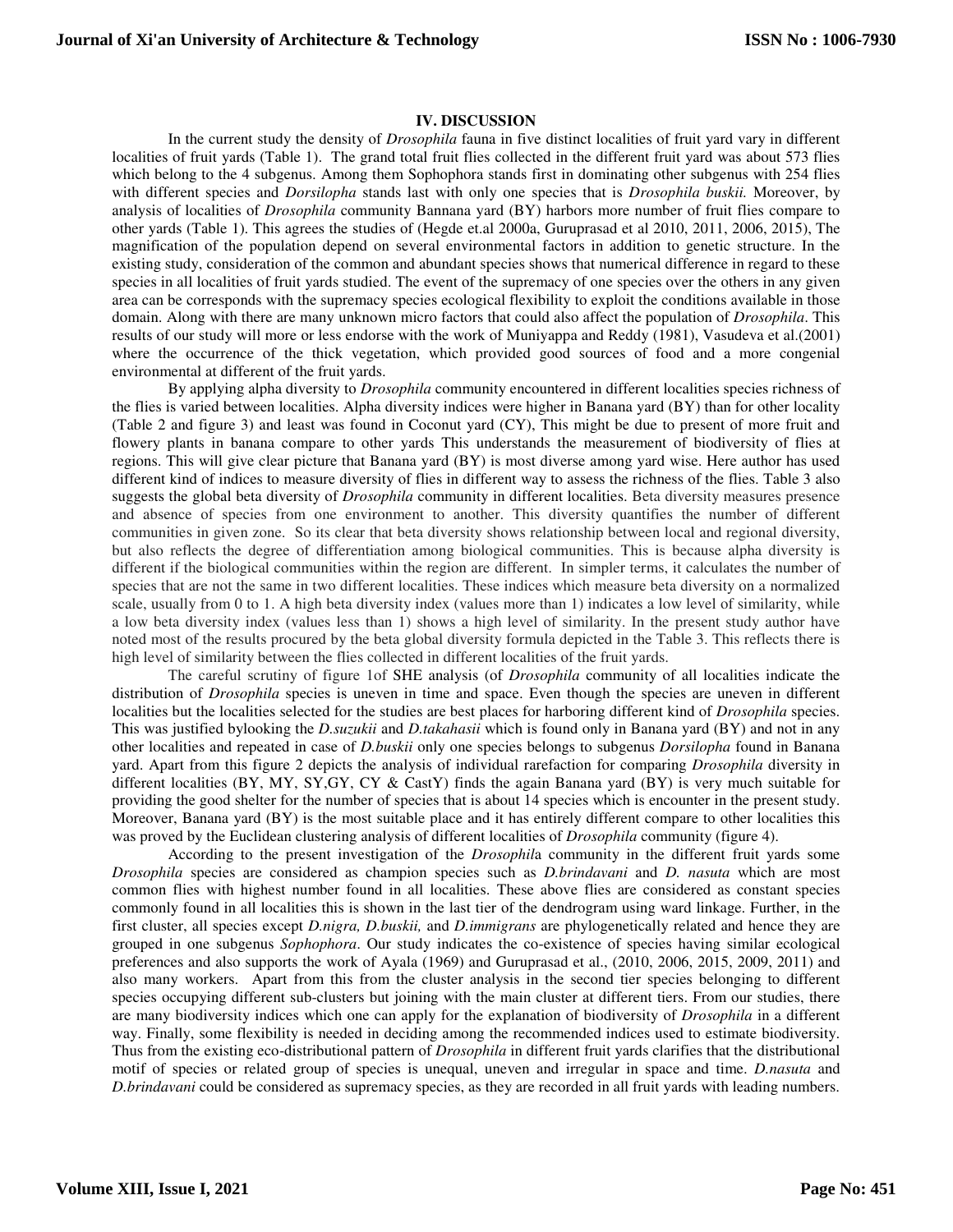## **IV. DISCUSSION**

In the current study the density of *Drosophila* fauna in five distinct localities of fruit yard vary in different localities of fruit yards (Table 1). The grand total fruit flies collected in the different fruit yard was about 573 flies which belong to the 4 subgenus. Among them Sophophora stands first in dominating other subgenus with 254 flies with different species and *Dorsilopha* stands last with only one species that is *Drosophila buskii.* Moreover, by analysis of localities of *Drosophila* community Bannana yard (BY) harbors more number of fruit flies compare to other yards (Table 1). This agrees the studies of (Hegde et.al 2000a, Guruprasad et al 2010, 2011, 2006, 2015), The magnification of the population depend on several environmental factors in addition to genetic structure. In the existing study, consideration of the common and abundant species shows that numerical difference in regard to these species in all localities of fruit yards studied. The event of the supremacy of one species over the others in any given area can be corresponds with the supremacy species ecological flexibility to exploit the conditions available in those domain. Along with there are many unknown micro factors that could also affect the population of *Drosophila*. This results of our study will more or less endorse with the work of Muniyappa and Reddy (1981), Vasudeva et al.(2001) where the occurrence of the thick vegetation, which provided good sources of food and a more congenial environmental at different of the fruit yards.

 By applying alpha diversity to *Drosophila* community encountered in different localities species richness of the flies is varied between localities. Alpha diversity indices were higher in Banana yard (BY) than for other locality (Table 2 and figure 3) and least was found in Coconut yard (CY), This might be due to present of more fruit and flowery plants in banana compare to other yards This understands the measurement of biodiversity of flies at regions. This will give clear picture that Banana yard (BY) is most diverse among yard wise. Here author has used different kind of indices to measure diversity of flies in different way to assess the richness of the flies. Table 3 also suggests the global beta diversity of *Drosophila* community in different localities. Beta diversity measures presence and absence of species from one environment to another. This diversity quantifies the number of different communities in given zone. So its clear that beta diversity shows relationship between local and regional diversity, but also reflects the degree of differentiation among biological communities. This is because alpha diversity is different if the biological communities within the region are different. In simpler terms, it calculates the number of species that are not the same in two different localities. These indices which measure beta diversity on a normalized scale, usually from 0 to 1. A high beta diversity index (values more than 1) indicates a low level of similarity, while a low beta diversity index (values less than 1) shows a high level of similarity. In the present study author have noted most of the results procured by the beta global diversity formula depicted in the Table 3. This reflects there is high level of similarity between the flies collected in different localities of the fruit yards.

The careful scrutiny of figure 1of SHE analysis (of *Drosophila* community of all localities indicate the distribution of *Drosophila* species is uneven in time and space. Even though the species are uneven in different localities but the localities selected for the studies are best places for harboring different kind of *Drosophila* species. This was justified bylooking the *D.suzukii* and *D.takahasii* which is found only in Banana yard (BY) and not in any other localities and repeated in case of *D.buskii* only one species belongs to subgenus *Dorsilopha* found in Banana yard. Apart from this figure 2 depicts the analysis of individual rarefaction for comparing *Drosophila* diversity in different localities (BY, MY, SY,GY, CY & CastY) finds the again Banana yard (BY) is very much suitable for providing the good shelter for the number of species that is about 14 species which is encounter in the present study. Moreover, Banana yard (BY) is the most suitable place and it has entirely different compare to other localities this was proved by the Euclidean clustering analysis of different localities of *Drosophila* community (figure 4).

According to the present investigation of the *Drosophil*a community in the different fruit yards some *Drosophila* species are considered as champion species such as *D.brindavani* and *D. nasuta* which are most common flies with highest number found in all localities. These above flies are considered as constant species commonly found in all localities this is shown in the last tier of the dendrogram using ward linkage. Further, in the first cluster, all species except *D.nigra, D.buskii,* and *D.immigrans* are phylogenetically related and hence they are grouped in one subgenus *Sophophora*. Our study indicates the co-existence of species having similar ecological preferences and also supports the work of Ayala (1969) and Guruprasad et al., (2010, 2006, 2015, 2009, 2011) and also many workers. Apart from this from the cluster analysis in the second tier species belonging to different species occupying different sub-clusters but joining with the main cluster at different tiers. From our studies, there are many biodiversity indices which one can apply for the explanation of biodiversity of *Drosophila* in a different way. Finally, some flexibility is needed in deciding among the recommended indices used to estimate biodiversity. Thus from the existing eco-distributional pattern of *Drosophila* in different fruit yards clarifies that the distributional motif of species or related group of species is unequal, uneven and irregular in space and time. *D.nasuta* and *D.brindavani* could be considered as supremacy species, as they are recorded in all fruit yards with leading numbers.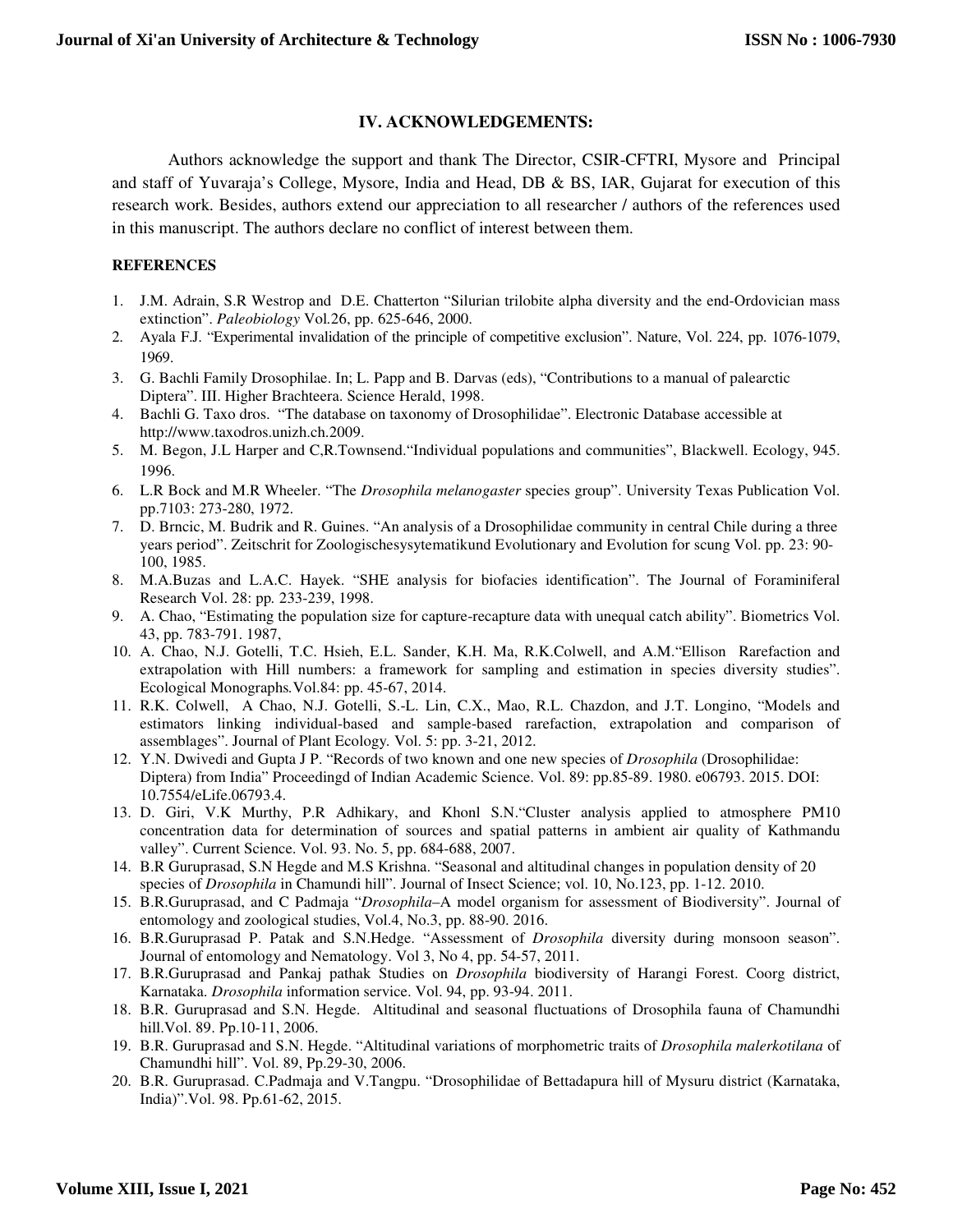## **IV. ACKNOWLEDGEMENTS:**

Authors acknowledge the support and thank The Director, CSIR-CFTRI, Mysore and Principal and staff of Yuvaraja's College, Mysore, India and Head, DB & BS, IAR, Gujarat for execution of this research work. Besides, authors extend our appreciation to all researcher / authors of the references used in this manuscript. The authors declare no conflict of interest between them.

## **REFERENCES**

- 1. J.M. Adrain, S.R Westrop and D.E. Chatterton "Silurian trilobite alpha diversity and the end-Ordovician mass extinction". *Paleobiology* Vol*.*26, pp. 625-646, 2000.
- 2. Ayala F.J. "Experimental invalidation of the principle of competitive exclusion". Nature, Vol. 224, pp. 1076-1079, 1969.
- 3. G. Bachli Family Drosophilae. In; L. Papp and B. Darvas (eds), "Contributions to a manual of palearctic Diptera". III. Higher Brachteera. Science Herald, 1998.
- 4. Bachli G. Taxo dros. "The database on taxonomy of Drosophilidae". Electronic Database accessible at http://www.taxodros.unizh.ch.2009.
- 5. M. Begon, J.L Harper and C,R.Townsend."Individual populations and communities", Blackwell. Ecology, 945. 1996.
- 6. L.R Bock and M.R Wheeler. "The *Drosophila melanogaster* species group". University Texas Publication Vol. pp.7103: 273-280, 1972.
- 7. D. Brncic, M. Budrik and R. Guines. "An analysis of a Drosophilidae community in central Chile during a three years period". Zeitschrit for Zoologischesysytematikund Evolutionary and Evolution for scung Vol. pp. 23: 90- 100, 1985.
- 8. M.A.Buzas and L.A.C. Hayek. "SHE analysis for biofacies identification". The Journal of Foraminiferal Research Vol. 28: pp*.* 233-239, 1998.
- 9. A. Chao, "Estimating the population size for capture-recapture data with unequal catch ability". Biometrics Vol. 43, pp. 783-791. 1987,
- 10. A. Chao, N.J. Gotelli, T.C. Hsieh, E.L. Sander, K.H. Ma, R.K.Colwell, and A.M."Ellison Rarefaction and extrapolation with Hill numbers: a framework for sampling and estimation in species diversity studies". Ecological Monographs*.*Vol.84: pp. 45-67, 2014.
- 11. R.K. Colwell, A Chao, N.J. Gotelli, S.-L. Lin, C.X., Mao, R.L. Chazdon, and J.T. Longino, "Models and estimators linking individual-based and sample-based rarefaction, extrapolation and comparison of assemblages". Journal of Plant Ecology*.* Vol. 5: pp. 3-21, 2012.
- 12. Y.N. Dwivedi and Gupta J P. "Records of two known and one new species of *Drosophila* (Drosophilidae: Diptera) from India" Proceedingd of Indian Academic Science. Vol. 89: pp.85-89. 1980. e06793. 2015. DOI: 10.7554/eLife.06793.4.
- 13. D. Giri, V.K Murthy, P.R Adhikary, and Khonl S.N."Cluster analysis applied to atmosphere PM10 concentration data for determination of sources and spatial patterns in ambient air quality of Kathmandu valley". Current Science. Vol. 93. No. 5, pp. 684-688, 2007.
- 14. B.R Guruprasad, S.N Hegde and M.S Krishna. "Seasonal and altitudinal changes in population density of 20 species of *Drosophila* in Chamundi hill". Journal of Insect Science; vol. 10, No.123, pp. 1-12. 2010.
- 15. B.R.Guruprasad, and C Padmaja "*Drosophila*–A model organism for assessment of Biodiversity". Journal of entomology and zoological studies, Vol.4, No.3, pp. 88-90. 2016.
- 16. B.R.Guruprasad P. Patak and S.N.Hedge. "Assessment of *Drosophila* diversity during monsoon season". Journal of entomology and Nematology. Vol 3, No 4, pp. 54-57, 2011.
- 17. B.R.Guruprasad and Pankaj pathak Studies on *Drosophila* biodiversity of Harangi Forest. Coorg district, Karnataka. *Drosophila* information service. Vol. 94, pp. 93-94. 2011.
- 18. B.R. Guruprasad and S.N. Hegde. Altitudinal and seasonal fluctuations of Drosophila fauna of Chamundhi hill.Vol. 89. Pp.10-11, 2006.
- 19. B.R. Guruprasad and S.N. Hegde. "Altitudinal variations of morphometric traits of *Drosophila malerkotilana* of Chamundhi hill". Vol. 89, Pp.29-30, 2006.
- 20. B.R. Guruprasad. C.Padmaja and V.Tangpu. "Drosophilidae of Bettadapura hill of Mysuru district (Karnataka, India)".Vol. 98. Pp.61-62, 2015.